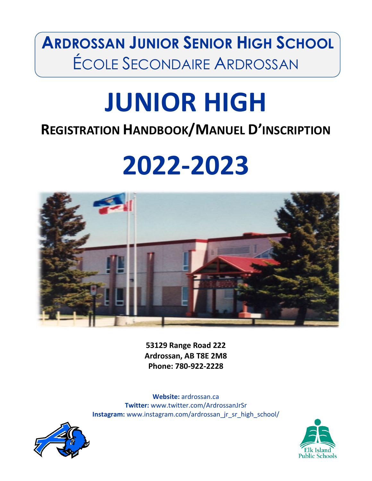**ARDROSSAN JUNIOR SENIOR HIGH SCHOOL** ÉCOLE SECONDAIRE ARDROSSAN

# **JUNIOR HIGH**

# **REGISTRATION HANDBOOK/MANUEL D'INSCRIPTION**

# **2022-2023**



**53129 Range Road 222 Ardrossan, AB T8E 2M8 Phone: 780-922-2228**

**Website:** ardrossan.ca **Twitter:** www.twitter.com/ArdrossanJrSr **Instagram:** www.instagram.com/ardrossan\_jr\_sr\_high\_school/



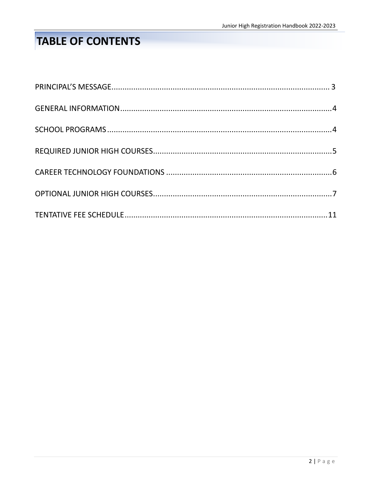# **TABLE OF CONTENTS**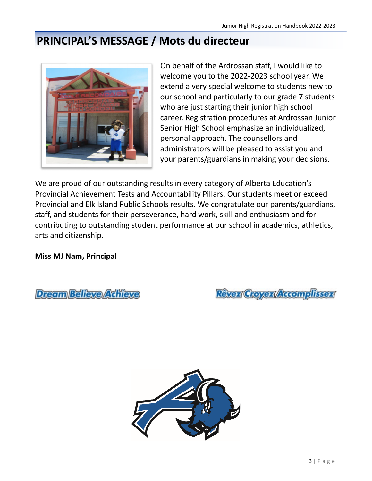# **PRINCIPAL'S MESSAGE / Mots du directeur**



On behalf of the Ardrossan staff, I would like to welcome you to the 2022-2023 school year. We extend a very special welcome to students new to our school and particularly to our grade 7 students who are just starting their junior high school career. Registration procedures at Ardrossan Junior Senior High School emphasize an individualized, personal approach. The counsellors and administrators will be pleased to assist you and your parents/guardians in making your decisions.

We are proud of our outstanding results in every category of Alberta Education's Provincial Achievement Tests and Accountability Pillars. Our students meet or exceed Provincial and Elk Island Public Schools results. We congratulate our parents/guardians, staff, and students for their perseverance, hard work, skill and enthusiasm and for contributing to outstanding student performance at our school in academics, athletics, arts and citizenship.

**Miss MJ Nam, Principal**

Dream Believe Achieve

Rêvez Croyez Accomplissez

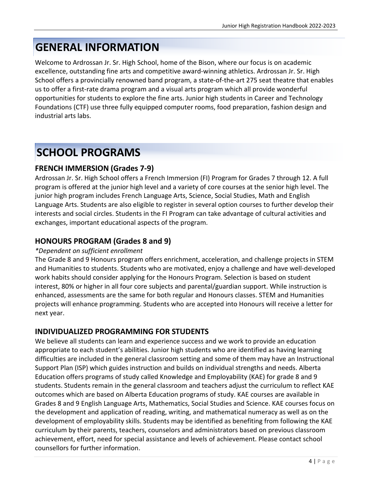# **GENERAL INFORMATION**

Welcome to Ardrossan Jr. Sr. High School, home of the Bison, where our focus is on academic excellence, outstanding fine arts and competitive award-winning athletics. Ardrossan Jr. Sr. High School offers a provincially renowned band program, a state-of-the-art 275 seat theatre that enables us to offer a first-rate drama program and a visual arts program which all provide wonderful opportunities for students to explore the fine arts. Junior high students in Career and Technology Foundations (CTF) use three fully equipped computer rooms, food preparation, fashion design and industrial arts labs.

# **SCHOOL PROGRAMS**

## **FRENCH IMMERSION (Grades 7-9)**

Ardrossan Jr. Sr. High School offers a French Immersion (FI) Program for Grades 7 through 12. A full program is offered at the junior high level and a variety of core courses at the senior high level. The junior high program includes French Language Arts, Science, Social Studies, Math and English Language Arts. Students are also eligible to register in several option courses to further develop their interests and social circles. Students in the FI Program can take advantage of cultural activities and exchanges, important educational aspects of the program.

### **HONOURS PROGRAM (Grades 8 and 9)**

#### *\*Dependent on sufficient enrollment*

The Grade 8 and 9 Honours program offers enrichment, acceleration, and challenge projects in STEM and Humanities to students. Students who are motivated, enjoy a challenge and have well-developed work habits should consider applying for the Honours Program. Selection is based on student interest, 80% or higher in all four core subjects and parental/guardian support. While instruction is enhanced, assessments are the same for both regular and Honours classes. STEM and Humanities projects will enhance programming. Students who are accepted into Honours will receive a letter for next year.

## **INDIVIDUALIZED PROGRAMMING FOR STUDENTS**

We believe all students can learn and experience success and we work to provide an education appropriate to each student's abilities. Junior high students who are identified as having learning difficulties are included in the general classroom setting and some of them may have an Instructional Support Plan (ISP) which guides instruction and builds on individual strengths and needs. Alberta Education offers programs of study called Knowledge and Employability (KAE) for grade 8 and 9 students. Students remain in the general classroom and teachers adjust the curriculum to reflect KAE outcomes which are based on Alberta Education programs of study. KAE courses are available in Grades 8 and 9 English Language Arts, Mathematics, Social Studies and Science. KAE courses focus on the development and application of reading, writing, and mathematical numeracy as well as on the development of employability skills. Students may be identified as benefiting from following the KAE curriculum by their parents, teachers, counselors and administrators based on previous classroom achievement, effort, need for special assistance and levels of achievement. Please contact school counsellors for further information.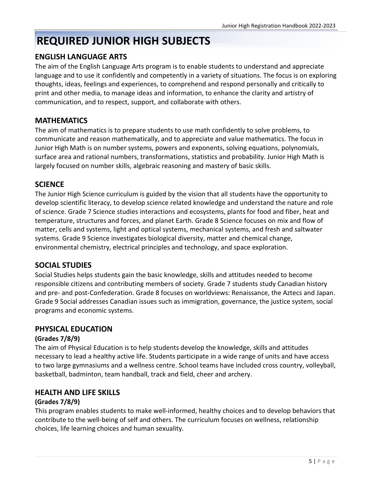# **REQUIRED JUNIOR HIGH SUBJECTS**

#### **ENGLISH LANGUAGE ARTS**

The aim of the English Language Arts program is to enable students to understand and appreciate language and to use it confidently and competently in a variety of situations. The focus is on exploring thoughts, ideas, feelings and experiences, to comprehend and respond personally and critically to print and other media, to manage ideas and information, to enhance the clarity and artistry of communication, and to respect, support, and collaborate with others.

#### **MATHEMATICS**

The aim of mathematics is to prepare students to use math confidently to solve problems, to communicate and reason mathematically, and to appreciate and value mathematics. The focus in Junior High Math is on number systems, powers and exponents, solving equations, polynomials, surface area and rational numbers, transformations, statistics and probability. Junior High Math is largely focused on number skills, algebraic reasoning and mastery of basic skills.

#### **SCIENCE**

The Junior High Science curriculum is guided by the vision that all students have the opportunity to develop scientific literacy, to develop science related knowledge and understand the nature and role of science. Grade 7 Science studies interactions and ecosystems, plants for food and fiber, heat and temperature, structures and forces, and planet Earth. Grade 8 Science focuses on mix and flow of matter, cells and systems, light and optical systems, mechanical systems, and fresh and saltwater systems. Grade 9 Science investigates biological diversity, matter and chemical change, environmental chemistry, electrical principles and technology, and space exploration.

#### **SOCIAL STUDIES**

Social Studies helps students gain the basic knowledge, skills and attitudes needed to become responsible citizens and contributing members of society. Grade 7 students study Canadian history and pre- and post-Confederation. Grade 8 focuses on worldviews: Renaissance, the Aztecs and Japan. Grade 9 Social addresses Canadian issues such as immigration, governance, the justice system, social programs and economic systems.

#### **PHYSICAL EDUCATION**

#### **(Grades 7/8/9)**

The aim of Physical Education is to help students develop the knowledge, skills and attitudes necessary to lead a healthy active life. Students participate in a wide range of units and have access to two large gymnasiums and a wellness centre. School teams have included cross country, volleyball, basketball, badminton, team handball, track and field, cheer and archery.

#### **HEALTH AND LIFE SKILLS**

#### **(Grades 7/8/9)**

This program enables students to make well-informed, healthy choices and to develop behaviors that contribute to the well-being of self and others. The curriculum focuses on wellness, relationship choices, life learning choices and human sexuality.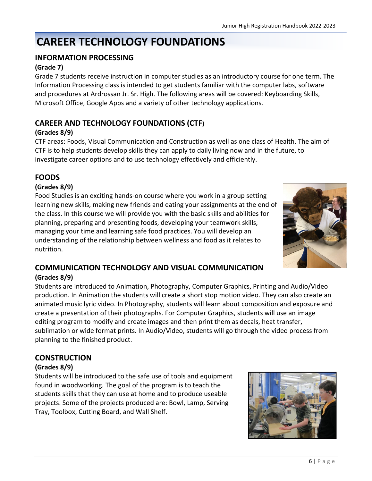# **CAREER TECHNOLOGY FOUNDATIONS**

## **INFORMATION PROCESSING**

#### **(Grade 7)**

Grade 7 students receive instruction in computer studies as an introductory course for one term. The Information Processing class is intended to get students familiar with the computer labs, software and procedures at Ardrossan Jr. Sr. High. The following areas will be covered: Keyboarding Skills, Microsoft Office, Google Apps and a variety of other technology applications.

## **CAREER AND TECHNOLOGY FOUNDATIONS (CTF)**

#### **(Grades 8/9)**

CTF areas: Foods, Visual Communication and Construction as well as one class of Health. The aim of CTF is to help students develop skills they can apply to daily living now and in the future, to investigate career options and to use technology effectively and efficiently.

## **FOODS**

#### **(Grades 8/9)**

Food Studies is an exciting hands-on course where you work in a group setting learning new skills, making new friends and eating your assignments at the end of the class. In this course we will provide you with the basic skills and abilities for planning, preparing and presenting foods, developing your teamwork skills, managing your time and learning safe food practices. You will develop an understanding of the relationship between wellness and food as it relates to nutrition.



#### **COMMUNICATION TECHNOLOGY AND VISUAL COMMUNICATION (Grades 8/9)**

Students are introduced to Animation, Photography, Computer Graphics, Printing and Audio/Video production. In Animation the students will create a short stop motion video. They can also create an animated music lyric video. In Photography, students will learn about composition and exposure and create a presentation of their photographs. For Computer Graphics, students will use an image editing program to modify and create images and then print them as decals, heat transfer, sublimation or wide format prints. In Audio/Video, students will go through the video process from planning to the finished product.

#### **CONSTRUCTION**

#### **(Grades 8/9)**

Students will be introduced to the safe use of tools and equipment found in woodworking. The goal of the program is to teach the students skills that they can use at home and to produce useable projects. Some of the projects produced are: Bowl, Lamp, Serving Tray, Toolbox, Cutting Board, and Wall Shelf.

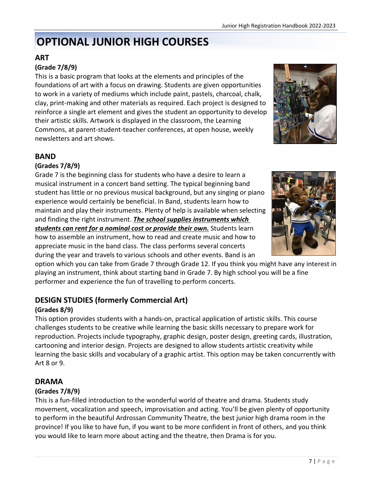# **OPTIONAL JUNIOR HIGH COURSES**

## **ART**

#### **(Grade 7/8/9)**

This is a basic program that looks at the elements and principles of the foundations of art with a focus on drawing. Students are given opportunities to work in a variety of mediums which include paint, pastels, charcoal, chalk, clay, print-making and other materials as required. Each project is designed to reinforce a single art element and gives the student an opportunity to develop their artistic skills. Artwork is displayed in the classroom, the Learning Commons, at parent-student-teacher conferences, at open house, weekly newsletters and art shows.



## **BAND**

#### **(Grades 7/8/9)**

Grade 7 is the beginning class for students who have a desire to learn a musical instrument in a concert band setting. The typical beginning band student has little or no previous musical background, but any singing or piano experience would certainly be beneficial. In Band, students learn how to maintain and play their instruments. Plenty of help is available when selecting and finding the right instrument. *The school supplies instruments which students can rent for a nominal cost or provide their own.* Students learn how to assemble an instrument, how to read and create music and how to appreciate music in the band class. The class performs several concerts

during the year and travels to various schools and other events. Band is an option which you can take from Grade 7 through Grade 12. If you think you might have any interest in playing an instrument, think about starting band in Grade 7. By high school you will be a fine

## **DESIGN STUDIES (formerly Commercial Art)**

performer and experience the fun of travelling to perform concerts.

#### **(Grades 8/9)**

This option provides students with a hands-on, practical application of artistic skills. This course challenges students to be creative while learning the basic skills necessary to prepare work for reproduction. Projects include typography, graphic design, poster design, greeting cards, illustration, cartooning and interior design. Projects are designed to allow students artistic creativity while learning the basic skills and vocabulary of a graphic artist. This option may be taken concurrently with Art 8 or 9.

#### **DRAMA**

#### **(Grades 7/8/9)**

This is a fun-filled introduction to the wonderful world of theatre and drama. Students study movement, vocalization and speech, improvisation and acting. You'll be given plenty of opportunity to perform in the beautiful Ardrossan Community Theatre, the best junior high drama room in the province! If you like to have fun, if you want to be more confident in front of others, and you think you would like to learn more about acting and the theatre, then Drama is for you.

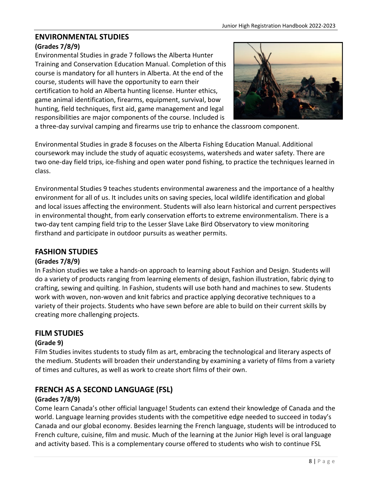# **ENVIRONMENTAL STUDIES**

#### **(Grades 7/8/9)**

Environmental Studies in grade 7 follows the Alberta Hunter Training and Conservation Education Manual. Completion of this course is mandatory for all hunters in Alberta. At the end of the course, students will have the opportunity to earn their certification to hold an Alberta hunting license. Hunter ethics, game animal identification, firearms, equipment, survival, bow hunting, field techniques, first aid, game management and legal responsibilities are major components of the course. Included is



a three-day survival camping and firearms use trip to enhance the classroom component.

Environmental Studies in grade 8 focuses on the Alberta Fishing Education Manual. Additional coursework may include the study of aquatic ecosystems, watersheds and water safety. There are two one-day field trips, ice-fishing and open water pond fishing, to practice the techniques learned in class.

Environmental Studies 9 teaches students environmental awareness and the importance of a healthy environment for all of us. It includes units on saving species, local wildlife identification and global and local issues affecting the environment. Students will also learn historical and current perspectives in environmental thought, from early conservation efforts to extreme environmentalism. There is a two-day tent camping field trip to the Lesser Slave Lake Bird Observatory to view monitoring firsthand and participate in outdoor pursuits as weather permits.

#### **FASHION STUDIES**

#### **(Grades 7/8/9)**

In Fashion studies we take a hands-on approach to learning about Fashion and Design. Students will do a variety of products ranging from learning elements of design, fashion illustration, fabric dying to crafting, sewing and quilting. In Fashion, students will use both hand and machines to sew. Students work with woven, non-woven and knit fabrics and practice applying decorative techniques to a variety of their projects. Students who have sewn before are able to build on their current skills by creating more challenging projects.

#### **FILM STUDIES**

#### **(Grade 9)**

Film Studies invites students to study film as art, embracing the technological and literary aspects of the medium. Students will broaden their understanding by examining a variety of films from a variety of times and cultures, as well as work to create short films of their own.

## **FRENCH AS A SECOND LANGUAGE (FSL)**

#### **(Grades 7/8/9)**

Come learn Canada's other official language! Students can extend their knowledge of Canada and the world. Language learning provides students with the competitive edge needed to succeed in today's Canada and our global economy. Besides learning the French language, students will be introduced to French culture, cuisine, film and music. Much of the learning at the Junior High level is oral language and activity based. This is a complementary course offered to students who wish to continue FSL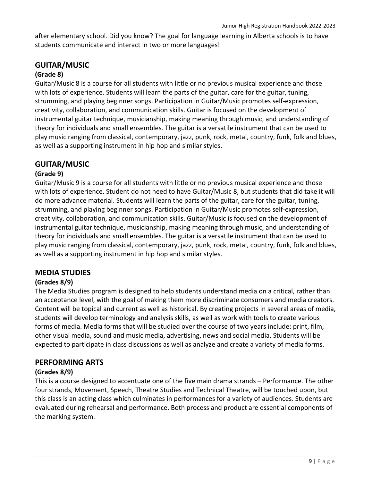after elementary school. Did you know? The goal for language learning in Alberta schools is to have students communicate and interact in two or more languages!

#### **GUITAR/MUSIC**

#### **(Grade 8)**

Guitar/Music 8 is a course for all students with little or no previous musical experience and those with lots of experience. Students will learn the parts of the guitar, care for the guitar, tuning, strumming, and playing beginner songs. Participation in Guitar/Music promotes self-expression, creativity, collaboration, and communication skills. Guitar is focused on the development of instrumental guitar technique, musicianship, making meaning through music, and understanding of theory for individuals and small ensembles. The guitar is a versatile instrument that can be used to play music ranging from classical, contemporary, jazz, punk, rock, metal, country, funk, folk and blues, as well as a supporting instrument in hip hop and similar styles.

#### **GUITAR/MUSIC**

#### **(Grade 9)**

Guitar/Music 9 is a course for all students with little or no previous musical experience and those with lots of experience. Student do not need to have Guitar/Music 8, but students that did take it will do more advance material. Students will learn the parts of the guitar, care for the guitar, tuning, strumming, and playing beginner songs. Participation in Guitar/Music promotes self-expression, creativity, collaboration, and communication skills. Guitar/Music is focused on the development of instrumental guitar technique, musicianship, making meaning through music, and understanding of theory for individuals and small ensembles. The guitar is a versatile instrument that can be used to play music ranging from classical, contemporary, jazz, punk, rock, metal, country, funk, folk and blues, as well as a supporting instrument in hip hop and similar styles.

#### **MEDIA STUDIES**

#### **(Grades 8/9)**

The Media Studies program is designed to help students understand media on a critical, rather than an acceptance level, with the goal of making them more discriminate consumers and media creators. Content will be topical and current as well as historical. By creating projects in several areas of media, students will develop terminology and analysis skills, as well as work with tools to create various forms of media. Media forms that will be studied over the course of two years include: print, film, other visual media, sound and music media, advertising, news and social media. Students will be expected to participate in class discussions as well as analyze and create a variety of media forms.

#### **PERFORMING ARTS**

#### **(Grades 8/9)**

This is a course designed to accentuate one of the five main drama strands – Performance. The other four strands, Movement, Speech, Theatre Studies and Technical Theatre, will be touched upon, but this class is an acting class which culminates in performances for a variety of audiences. Students are evaluated during rehearsal and performance. Both process and product are essential components of the marking system.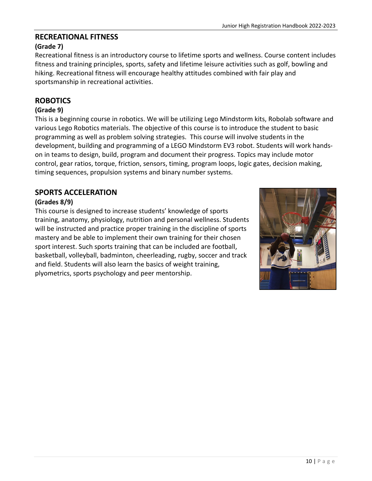# **RECREATIONAL FITNESS**

# **(Grade 7)**

Recreational fitness is an introductory course to lifetime sports and wellness. Course content includes fitness and training principles, sports, safety and lifetime leisure activities such as golf, bowling and hiking. Recreational fitness will encourage healthy attitudes combined with fair play and sportsmanship in recreational activities.

## **ROBOTICS**

#### **(Grade 9)**

This is a beginning course in robotics. We will be utilizing Lego Mindstorm kits, Robolab software and various Lego Robotics materials. The objective of this course is to introduce the student to basic programming as well as problem solving strategies. This course will involve students in the development, building and programming of a LEGO Mindstorm EV3 robot. Students will work handson in teams to design, build, program and document their progress. Topics may include motor control, gear ratios, torque, friction, sensors, timing, program loops, logic gates, decision making, timing sequences, propulsion systems and binary number systems.

## **SPORTS ACCELERATION**

#### **(Grades 8/9)**

This course is designed to increase students' knowledge of sports training, anatomy, physiology, nutrition and personal wellness. Students will be instructed and practice proper training in the discipline of sports mastery and be able to implement their own training for their chosen sport interest. Such sports training that can be included are football, basketball, volleyball, badminton, cheerleading, rugby, soccer and track and field. Students will also learn the basics of weight training, plyometrics, sports psychology and peer mentorship.